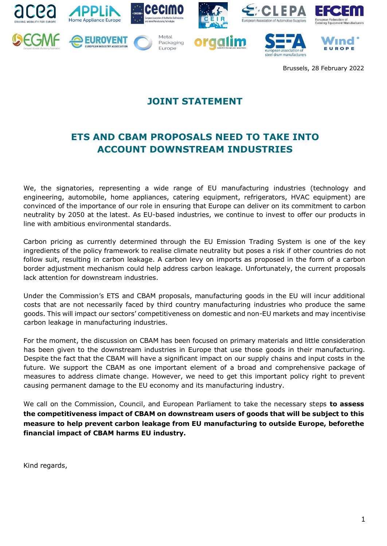



**EUROVENT** 



Metal

Packaging Europe



Im





Brussels, 28 February 2022

## **JOINT STATEMENT**

## **ETS AND CBAM PROPOSALS NEED TO TAKE INTO ACCOUNT DOWNSTREAM INDUSTRIES**

We, the signatories, representing a wide range of EU manufacturing industries (technology and engineering, automobile, home appliances, catering equipment, refrigerators, HVAC equipment) are convinced of the importance of our role in ensuring that Europe can deliver on its commitment to carbon neutrality by 2050 at the latest. As EU-based industries, we continue to invest to offer our products in line with ambitious environmental standards.

Carbon pricing as currently determined through the EU Emission Trading System is one of the key ingredients of the policy framework to realise climate neutrality but poses a risk if other countries do not follow suit, resulting in carbon leakage. A carbon levy on imports as proposed in the form of a carbon border adjustment mechanism could help address carbon leakage. Unfortunately, the current proposals lack attention for downstream industries.

Under the Commission's ETS and CBAM proposals, manufacturing goods in the EU will incur additional costs that are not necessarily faced by third country manufacturing industries who produce the same goods. This will impact our sectors' competitiveness on domestic and non-EU markets and may incentivise carbon leakage in manufacturing industries.

For the moment, the discussion on CBAM has been focused on primary materials and little consideration has been given to the downstream industries in Europe that use those goods in their manufacturing. Despite the fact that the CBAM will have a significant impact on our supply chains and input costs in the future. We support the CBAM as one important element of a broad and comprehensive package of measures to address climate change. However, we need to get this important policy right to prevent causing permanent damage to the EU economy and its manufacturing industry.

We call on the Commission, Council, and European Parliament to take the necessary steps **to assess the competitiveness impact of CBAM on downstream users of goods that will be subject to this measure to help prevent carbon leakage from EU manufacturing to outside Europe, beforethe financial impact of CBAM harms EU industry.**

Kind regards,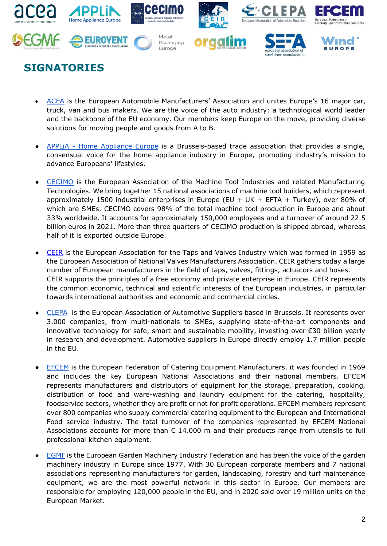

## **SIGNATORIES**

- [ACEA](https://www.acea.auto/) is the European Automobile Manufacturers' Association and unites Europe's 16 major car, truck, van and bus makers. We are the voice of the auto industry: a technological world leader and the backbone of the EU economy. Our [members](http://www.acea.auto/acea-members/) keep Europe on the move, providing diverse solutions for moving people and goods from A to B.
- APPLIA [Home Appliance Europe](https://www.applia-europe.eu/) is a Brussels-based trade association that provides a single, consensual voice for the home appliance industry in Europe, promoting industry's mission to advance Europeans' lifestyles.
- [CECIMO](https://www.cecimo.eu/) is the European Association of the Machine Tool Industries and related Manufacturing Technologies. We bring together 15 national associations of machine tool builders, which represent approximately 1500 industrial enterprises in Europe (EU + UK + EFTA + Turkey), over 80% of which are SMEs. CECIMO covers 98% of the total machine tool production in Europe and about 33% worldwide. It accounts for approximately 150,000 employees and a turnover of around 22.5 billion euros in 2021. More than three quarters of CECIMO production is shipped abroad, whereas half of it is exported outside Europe.
- [CEIR](https://www.ceir.eu/en/who-we-are) is the European Association for the Taps and Valves Industry which was formed in 1959 as the European Association of National Valves Manufacturers Association. CEIR gathers today a large number of European manufacturers in the field of taps, valves, fittings, actuators and hoses. CEIR supports the principles of a free economy and private enterprise in Europe. CEIR represents the common economic, technical and scientific interests of the European industries, in particular towards international authorities and economic and commercial circles.
- [CLEPA](https://clepa.eu/) is the European Association of Automotive Suppliers based in Brussels. It represents over 3.000 companies, from multi-nationals to SMEs, supplying state-of-the-art components and innovative technology for safe, smart and sustainable mobility, investing over €30 billion yearly in research and development. Automotive suppliers in Europe directly employ 1.7 million people in the EU.
- [EFCEM](https://www.efcem.info/) is the European Federation of Catering Equipment Manufacturers. it was founded in 1969 and includes the key European National Associations and their national members. EFCEM represents manufacturers and distributors of equipment for the storage, preparation, cooking, distribution of food and ware-washing and laundry equipment for the catering, hospitality, foodservice sectors, whether they are profit or not for profit operations. EFCEM members represent over 800 companies who supply commercial catering equipment to the European and International Food service industry. The total turnover of the companies represented by EFCEM National Associations accounts for more than  $\epsilon$  14.000 m and their products range from utensils to full professional kitchen equipment.
- **[EGMF](https://egmf.org/)** is the European Garden Machinery Industry Federation and has been the voice of the garden machinery industry in Europe since 1977. With 30 European corporate members and 7 national associations representing manufacturers for garden, landscaping, forestry and turf maintenance equipment, we are the most powerful network in this sector in Europe. Our members are responsible for employing 120,000 people in the EU, and in 2020 sold over 19 million units on the European Market.